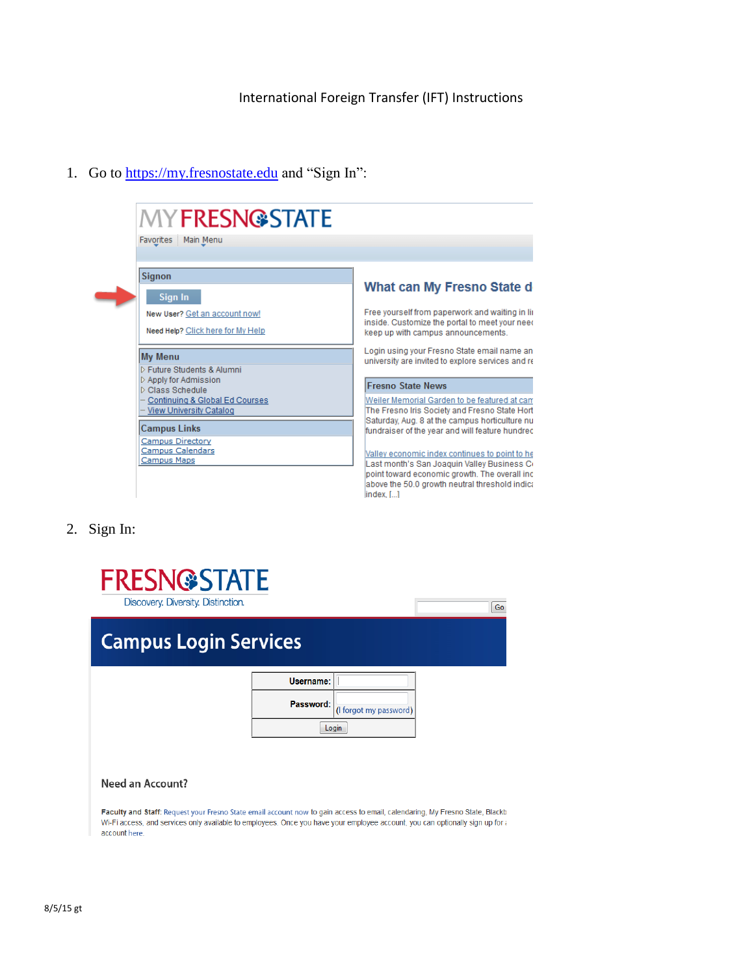## International Foreign Transfer (IFT) Instructions

1. Go to https://my.fresnostate.edu and "Sign In":



2. Sign In:

| <b>FRESN@STATE</b><br>Discovery. Diversity. Distinction. |           |                        | Go |
|----------------------------------------------------------|-----------|------------------------|----|
| <b>Campus Login Services</b>                             |           |                        |    |
|                                                          | Username: |                        |    |
|                                                          | Password: | (I forgot my password) |    |
|                                                          |           | Login                  |    |
|                                                          |           |                        |    |

## Need an Account?

Faculty and Staff: Request your Fresno State email account now to gain access to email, calendaring, My Fresno State, Blackb Wi-Fi access, and services only available to employees. Once you have your employee account, you can optionally sign up for a account here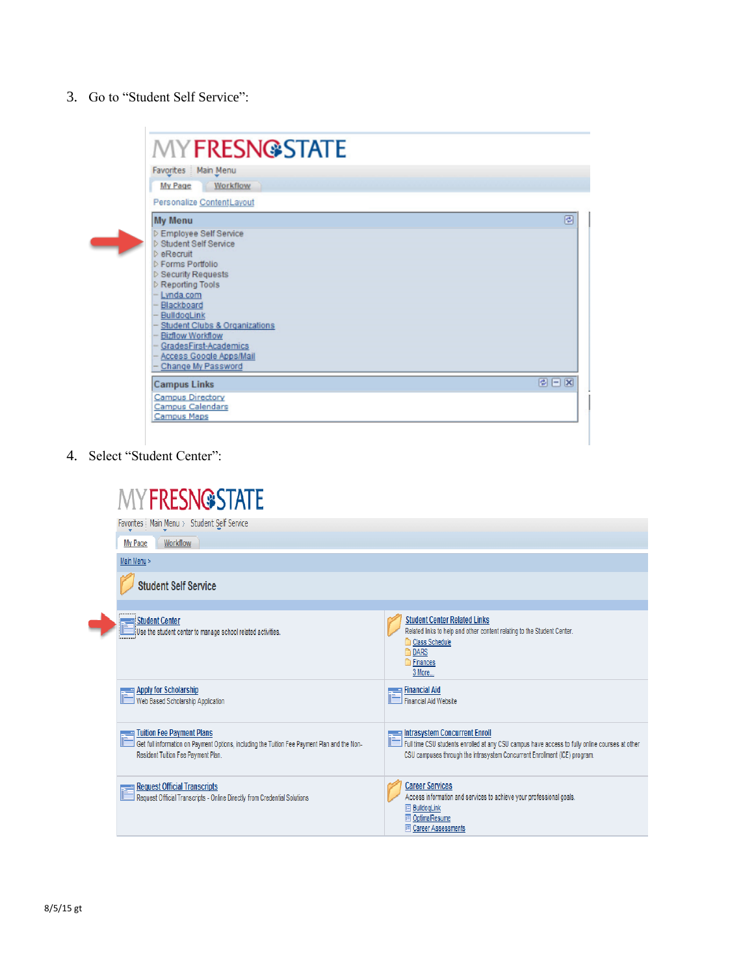3. Go to "Student Self Service":

| Favorites Main Menu                                                 |     |
|---------------------------------------------------------------------|-----|
| Workflow<br>My Page                                                 |     |
| Personalize ContentLayout                                           |     |
| <b>My Menu</b>                                                      |     |
| D Employee Self Service                                             |     |
| <b>D</b> Student Self Service                                       |     |
| <b>D</b> eRecruit<br><b>D</b> Forms Portfolio                       |     |
| D Security Requests                                                 |     |
| <b>D</b> Reporting Tools                                            |     |
| - Lynda.com                                                         |     |
| Blackboard                                                          |     |
| BulldogLink                                                         |     |
| <b>Student Clubs &amp; Organizations</b><br><b>Bizflow Workflow</b> |     |
| GradesFirst-Academics                                               |     |
| Access Google Apps/Mail                                             |     |
| Change My Password                                                  |     |
| <b>Campus Links</b>                                                 | ◎日図 |
| Campus Directory                                                    |     |
| <b>Campus Calendars</b><br>Campus Maps                              |     |

4. Select "Student Center":

| <b>MYFRESN@STATE</b>                                                                                                                                                   |                                                                                                                                                                                                                                |
|------------------------------------------------------------------------------------------------------------------------------------------------------------------------|--------------------------------------------------------------------------------------------------------------------------------------------------------------------------------------------------------------------------------|
| Favorites   Main Menu > Student Self Service                                                                                                                           |                                                                                                                                                                                                                                |
| Workflow<br>My Page                                                                                                                                                    |                                                                                                                                                                                                                                |
| Main Menu >                                                                                                                                                            |                                                                                                                                                                                                                                |
| <b>Student Self Service</b>                                                                                                                                            |                                                                                                                                                                                                                                |
|                                                                                                                                                                        |                                                                                                                                                                                                                                |
| <b>Student Center</b><br>Use the student center to manage school related activities.                                                                                   | <b>Student Center Related Links</b><br>Related links to help and other content relating to the Student Center.<br>Class Schedule<br><b>DARS</b><br>Finances<br>3 More                                                          |
| <b>Apply for Scholarship</b><br>Web Based Scholarship Application                                                                                                      | ⊞ Financial Aid<br><b>Financial Aid Website</b>                                                                                                                                                                                |
| <b>Tuition Fee Payment Plans</b><br>Get full information on Payment Options, including the Tuition Fee Payment Plan and the Non-<br>Resident Tuition Fee Payment Plan. | <b>Example 12 Intrasystem Concurrent Enroll</b><br>Full time CSU students enrolled at any CSU campus have access to fully online courses at other<br>CSU campuses through the Intrasystem Concurrent Enrollment (ICE) program. |
| <b>Request Official Transcripts</b><br>Request Official Transcripts - Online Directly from Credential Solutions                                                        | <b>Career Services</b><br>Access information and services to achieve your professional goals.<br><b>BulldogLink</b><br>OptimalResume<br>目<br>E Career Assessments                                                              |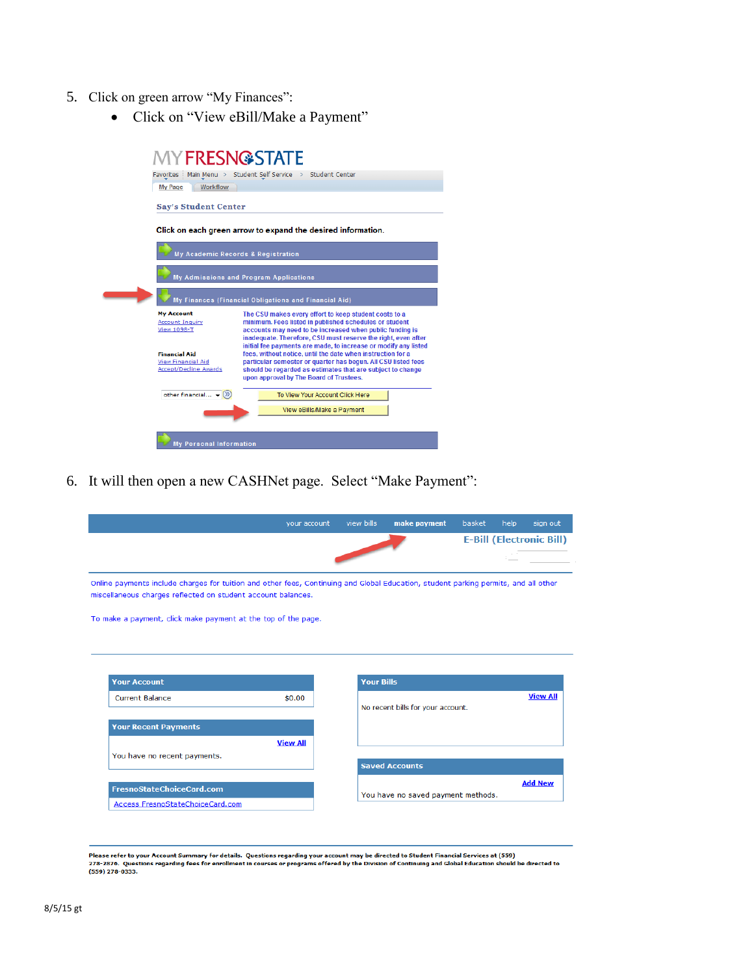- 5. Click on green arrow "My Finances":
	- Click on "View eBill/Make a Payment"

| <b>MYFRESN@STATE</b>                                      |                                                                                                                             |
|-----------------------------------------------------------|-----------------------------------------------------------------------------------------------------------------------------|
| Favorites   Main Menu > Student Self Service              | Student Center                                                                                                              |
| <b>Workflow</b><br>My Page                                |                                                                                                                             |
| <b>Say's Student Center</b>                               |                                                                                                                             |
|                                                           | Click on each green arrow to expand the desired information.                                                                |
| My Academic Records & Registration                        |                                                                                                                             |
|                                                           | My Admissions and Program Applications                                                                                      |
|                                                           | My Finances (Financial Obligations and Financial Aid)                                                                       |
| <b>My Account</b>                                         | The CSU makes every effort to keep student costs to a                                                                       |
| <b>Account Inquiry</b><br>View 1098-T                     | minimum. Fees listed in published schedules or student<br>accounts may need to be increased when public funding is          |
|                                                           | inadequate. Therefore, CSU must reserve the right, even after                                                               |
|                                                           | initial fee payments are made, to increase or modify any listed                                                             |
| <b>Financial Aid</b>                                      | fees, without notice, until the date when instruction for a                                                                 |
| <b>View Financial Aid</b><br><b>Accept/Decline Awards</b> | particular semester or quarter has begun. All CSU listed fees<br>should be regarded as estimates that are subject to change |
|                                                           | upon approval by The Board of Trustees.                                                                                     |
| other financial $\bullet$ $(\%)$                          | To View Your Account Click Here                                                                                             |
|                                                           | View eBills/Make a Payment                                                                                                  |
|                                                           |                                                                                                                             |
| <b>My Personal Information</b>                            |                                                                                                                             |

6. It will then open a new CASHNet page. Select "Make Payment":

|                                                                                                                                     | your account    | view bills        | make payment                       | basket | help | sign out                          |
|-------------------------------------------------------------------------------------------------------------------------------------|-----------------|-------------------|------------------------------------|--------|------|-----------------------------------|
|                                                                                                                                     |                 |                   |                                    |        |      | <b>E-Bill (Electronic Bill)</b>   |
|                                                                                                                                     |                 |                   |                                    |        |      |                                   |
| Online payments include charges for tuition and other fees, Continuing and Global Education, student parking permits, and all other |                 |                   |                                    |        |      |                                   |
| miscellaneous charges reflected on student account balances.                                                                        |                 |                   |                                    |        |      |                                   |
|                                                                                                                                     |                 |                   |                                    |        |      |                                   |
| To make a payment, click make payment at the top of the page.                                                                       |                 |                   |                                    |        |      |                                   |
|                                                                                                                                     |                 |                   |                                    |        |      |                                   |
|                                                                                                                                     |                 |                   |                                    |        |      |                                   |
|                                                                                                                                     |                 |                   |                                    |        |      |                                   |
|                                                                                                                                     |                 |                   |                                    |        |      |                                   |
|                                                                                                                                     |                 |                   |                                    |        |      |                                   |
| <b>Your Account</b>                                                                                                                 |                 | <b>Your Bills</b> |                                    |        |      |                                   |
| Current Balance                                                                                                                     | \$0.00          |                   |                                    |        |      |                                   |
|                                                                                                                                     |                 |                   | No recent bills for your account.  |        |      |                                   |
|                                                                                                                                     |                 |                   |                                    |        |      |                                   |
| <b>Your Recent Payments</b>                                                                                                         |                 |                   |                                    |        |      |                                   |
|                                                                                                                                     | <b>View All</b> |                   |                                    |        |      |                                   |
| You have no recent payments.                                                                                                        |                 |                   |                                    |        |      |                                   |
|                                                                                                                                     |                 |                   | <b>Saved Accounts</b>              |        |      |                                   |
|                                                                                                                                     |                 |                   |                                    |        |      | <b>View All</b><br><b>Add New</b> |
| FresnoStateChoiceCard.com                                                                                                           |                 |                   | You have no saved payment methods. |        |      |                                   |

–<br>Please refer to your Account Summary for details. Questions regarding your account may be directed to Student Financial Services at (559)<br>278-2876. Questions regarding fees for enrollment in courses or programs offered b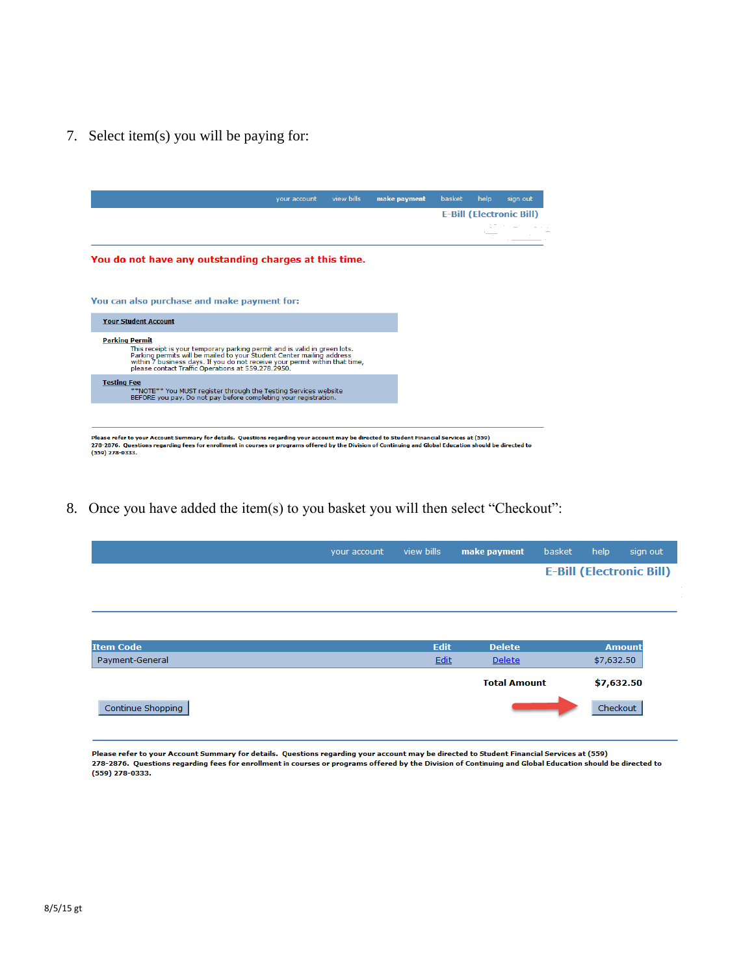7. Select item(s) you will be paying for:



8. Once you have added the item(s) to you basket you will then select "Checkout":

|  | your account view bills make payment basket help sign out |  |                                 |
|--|-----------------------------------------------------------|--|---------------------------------|
|  |                                                           |  | <b>E-Bill (Electronic Bill)</b> |

| <b>Item Code</b>  | <b>Edit</b> | <b>Delete</b>       | <b>Amount</b> |
|-------------------|-------------|---------------------|---------------|
| Payment-General   | Edit        | <b>Delete</b>       | \$7,632.50    |
|                   |             | <b>Total Amount</b> | \$7,632.50    |
| Continue Shopping |             |                     | Checkout      |

Please refer to your Account Summary for details. Questions regarding your account may be directed to Student Financial Services at (559) 278-2876. Questions regarding fees for enrollment in courses or programs offered by the Division of Continuing and Global Education should be directed to (559) 278-0333.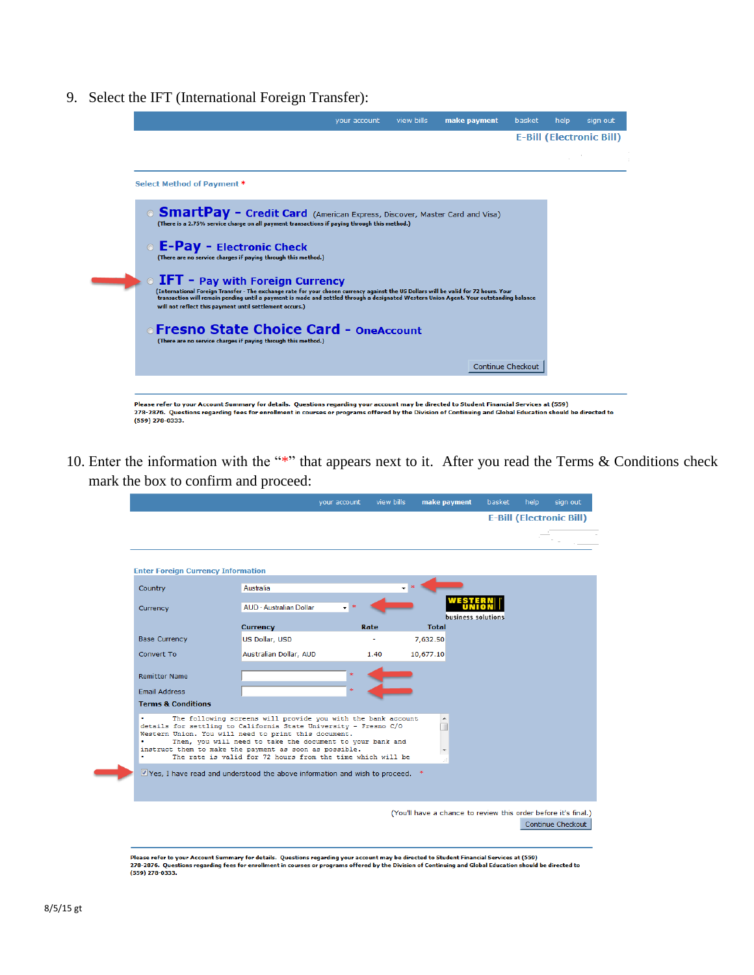9. Select the IFT (International Foreign Transfer):

|                                                                                                                                                                                                                                                                                                                                                                                       | vour account | view bills | make payment | basket            | help | sian out                        |
|---------------------------------------------------------------------------------------------------------------------------------------------------------------------------------------------------------------------------------------------------------------------------------------------------------------------------------------------------------------------------------------|--------------|------------|--------------|-------------------|------|---------------------------------|
|                                                                                                                                                                                                                                                                                                                                                                                       |              |            |              |                   |      | <b>E-Bill (Electronic Bill)</b> |
|                                                                                                                                                                                                                                                                                                                                                                                       |              |            |              |                   |      |                                 |
| Select Method of Payment *                                                                                                                                                                                                                                                                                                                                                            |              |            |              |                   |      |                                 |
| <b>SmartPay - Credit Card</b> (American Express, Discover, Master Card and Visa)<br>(There is a 2.75% service charge on all payment transactions if paying through this method.)                                                                                                                                                                                                      |              |            |              |                   |      |                                 |
| <b>C</b> E-Pay - Electronic Check<br>(There are no service charges if paying through this method.)                                                                                                                                                                                                                                                                                    |              |            |              |                   |      |                                 |
| <b>O</b> IFT - Pay with Foreign Currency<br>(International Foreign Transfer - The exchange rate for your chosen currency against the US Dollars will be valid for 72 hours. Your<br>transaction will remain pending until a payment is made and settled through a designated Western Union Agent. Your outstanding balance<br>will not reflect this payment until settlement occurs.) |              |            |              |                   |      |                                 |
| ⊙Fresno State Choice Card - OneAccount<br>(There are no service charges if paying through this method.)                                                                                                                                                                                                                                                                               |              |            |              |                   |      |                                 |
|                                                                                                                                                                                                                                                                                                                                                                                       |              |            |              | Continue Checkout |      |                                 |
|                                                                                                                                                                                                                                                                                                                                                                                       |              |            |              |                   |      |                                 |

10. Enter the information with the "\*" that appears next to it. After you read the Terms  $&$  Conditions check mark the box to confirm and proceed:

|                                           | your account                                                                                                                                                                                                                                                                                                                                                                  | view bills | make payment                                                   | basket             | help | sign out                        |
|-------------------------------------------|-------------------------------------------------------------------------------------------------------------------------------------------------------------------------------------------------------------------------------------------------------------------------------------------------------------------------------------------------------------------------------|------------|----------------------------------------------------------------|--------------------|------|---------------------------------|
|                                           |                                                                                                                                                                                                                                                                                                                                                                               |            |                                                                |                    |      | <b>E-Bill (Electronic Bill)</b> |
| <b>Enter Foreign Currency Information</b> |                                                                                                                                                                                                                                                                                                                                                                               |            |                                                                |                    |      |                                 |
| Country                                   | Australia                                                                                                                                                                                                                                                                                                                                                                     |            |                                                                |                    |      |                                 |
| Currency                                  | AUD - Australian Dollar                                                                                                                                                                                                                                                                                                                                                       |            |                                                                | business solutions |      |                                 |
|                                           | <b>Currency</b>                                                                                                                                                                                                                                                                                                                                                               | Rate       | <b>Total</b>                                                   |                    |      |                                 |
| <b>Base Currency</b>                      | US Dollar, USD                                                                                                                                                                                                                                                                                                                                                                |            | 7,632.50                                                       |                    |      |                                 |
| Convert To                                | Australian Dollar, AUD                                                                                                                                                                                                                                                                                                                                                        | 1.40       | 10,677.10                                                      |                    |      |                                 |
| <b>Remitter Name</b>                      |                                                                                                                                                                                                                                                                                                                                                                               |            |                                                                |                    |      |                                 |
| <b>Email Address</b>                      |                                                                                                                                                                                                                                                                                                                                                                               |            |                                                                |                    |      |                                 |
| <b>Terms &amp; Conditions</b>             |                                                                                                                                                                                                                                                                                                                                                                               |            |                                                                |                    |      |                                 |
|                                           | The following screens will provide you with the bank account<br>details for settling to California State University - Fresno C/O<br>Western Union. You will need to print this document.<br>Then, you will need to take the document to your bank and<br>instruct them to make the payment as soon as possible.<br>The rate is valid for 72 hours from the time which will be |            | T                                                              |                    |      |                                 |
|                                           | Ves, I have read and understood the above information and wish to proceed.                                                                                                                                                                                                                                                                                                    |            |                                                                |                    |      |                                 |
|                                           |                                                                                                                                                                                                                                                                                                                                                                               |            | (You'll have a chance to review this order before it's final.) |                    |      | Continue Checkout               |

Please refer to your Account Summary for details. Questions regarding your account may be directed to Student Financial Services at (359)<br>278-2876. Questions regarding fees for enrollment in courses or programs offered b